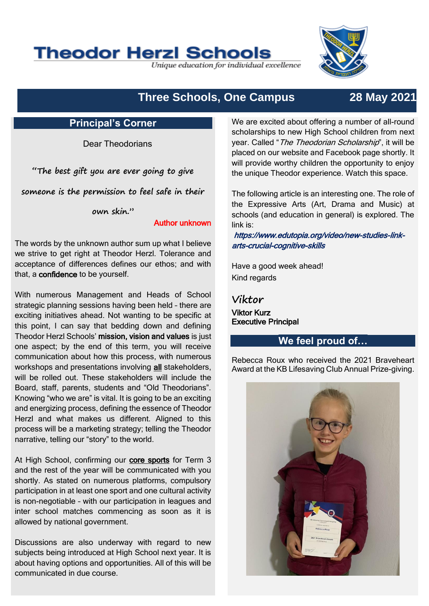# **Theodor Herzl Schools**

Unique education for individual excellence



## **Three Schools, One Campus 28 May 2021**

#### **Principal's Corner**

Dear Theodorians

**"The best gift you are ever going to give** 

**someone is the permission to feel safe in their** 

**own skin."** 

#### Author unknown

The words by the unknown author sum up what I believe we strive to get right at Theodor Herzl. Tolerance and acceptance of differences defines our ethos; and with that, a confidence to be yourself.

With numerous Management and Heads of School strategic planning sessions having been held – there are exciting initiatives ahead. Not wanting to be specific at this point, I can say that bedding down and defining Theodor Herzl Schools' mission, vision and values is just one aspect; by the end of this term, you will receive communication about how this process, with numerous workshops and presentations involving all stakeholders. will be rolled out. These stakeholders will include the Board, staff, parents, students and "Old Theodorians". Knowing "who we are" is vital. It is going to be an exciting and energizing process, defining the essence of Theodor Herzl and what makes us different. Aligned to this process will be a marketing strategy; telling the Theodor narrative, telling our "story" to the world.

At High School, confirming our core sports for Term 3 and the rest of the year will be communicated with you shortly. As stated on numerous platforms, compulsory participation in at least one sport and one cultural activity is non-negotiable – with our participation in leagues and inter school matches commencing as soon as it is allowed by national government.

Discussions are also underway with regard to new subjects being introduced at High School next year. It is about having options and opportunities. All of this will be communicated in due course.

We are excited about offering a number of all-round scholarships to new High School children from next year. Called "The Theodorian Scholarship", it will be placed on our website and Facebook page shortly. It will provide worthy children the opportunity to enjoy the unique Theodor experience. Watch this space.

The following article is an interesting one. The role of the Expressive Arts (Art, Drama and Music) at schools (and education in general) is explored. The link is:

https://www.edutopia.org/video/new-studies-linkarts-crucial-cognitive-skills

Have a good week ahead! Kind regards

**Viktor** Viktor Kurz Executive Principal

## **We feel proud of…**

Rebecca Roux who received the 2021 Braveheart Award at the KB Lifesaving Club Annual Prize-giving.

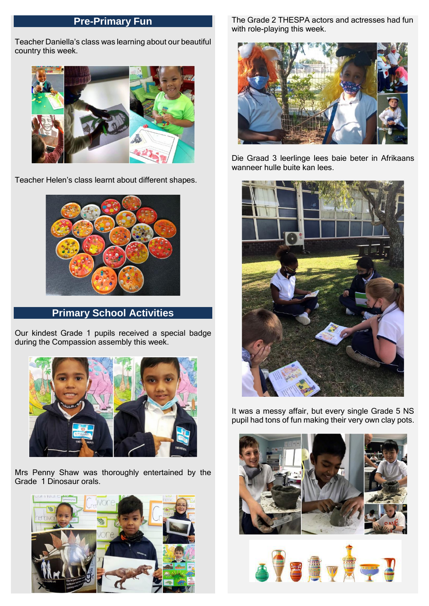## **Pre-Primary Fun**

Teacher Daniella's class was learning about our beautiful country this week.



Teacher Helen's class learnt about different shapes.



**Primary School Activities**

Our kindest Grade 1 pupils received a special badge during the Compassion assembly this week.



Mrs Penny Shaw was thoroughly entertained by the Grade 1 Dinosaur orals.



The Grade 2 THESPA actors and actresses had fun with role-playing this week.



Die Graad 3 leerlinge lees baie beter in Afrikaans wanneer hulle buite kan lees.



It was a messy affair, but every single Grade 5 NS pupil had tons of fun making their very own clay pots.